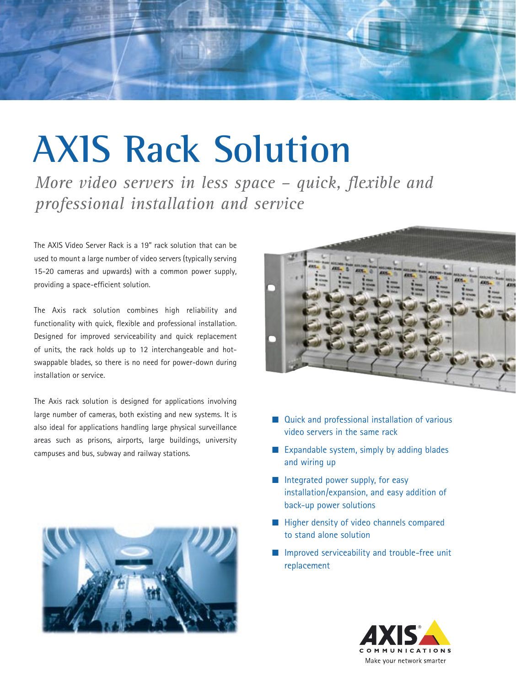

# **AXIS Rack Solution**

*More video servers in less space – quick, flexible and professional installation and service*

The AXIS Video Server Rack is a 19" rack solution that can be used to mount a large number of video servers (typically serving 15-20 cameras and upwards) with a common power supply, providing a space-efficient solution.

The Axis rack solution combines high reliability and functionality with quick, flexible and professional installation. Designed for improved serviceability and quick replacement of units, the rack holds up to 12 interchangeable and hotswappable blades, so there is no need for power-down during installation or service.

The Axis rack solution is designed for applications involving large number of cameras, both existing and new systems. It is also ideal for applications handling large physical surveillance areas such as prisons, airports, large buildings, university campuses and bus, subway and railway stations.





- Quick and professional installation of various video servers in the same rack
- Expandable system, simply by adding blades and wiring up
- Integrated power supply, for easy installation/expansion, and easy addition of back-up power solutions
- Higher density of video channels compared to stand alone solution
- Improved serviceability and trouble-free unit replacement